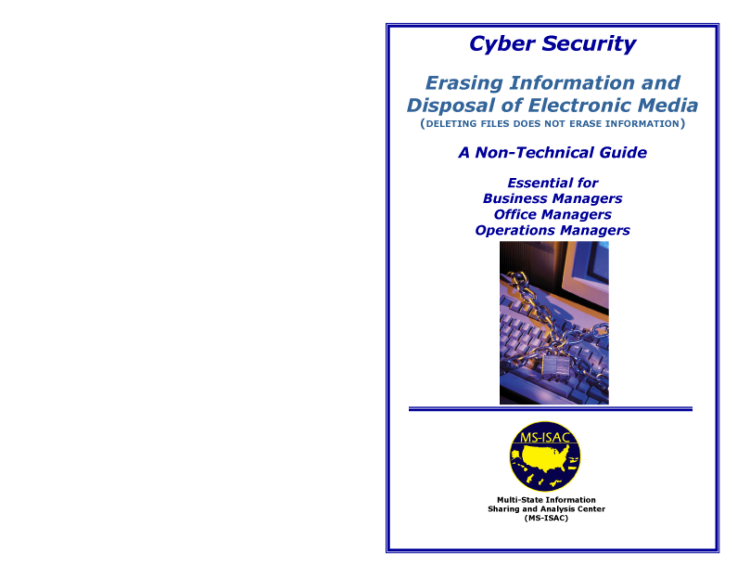# **Cyber Security**

# **Erasing Information and Disposal of Electronic Media**

(DELETING FILES DOES NOT ERASE INFORMATION)

# **A Non-Technical Guide**

**Essential for Business Managers Office Managers Operations Managers** 





**Multi-State Information Sharing and Analysis Center** (MS-ISAC)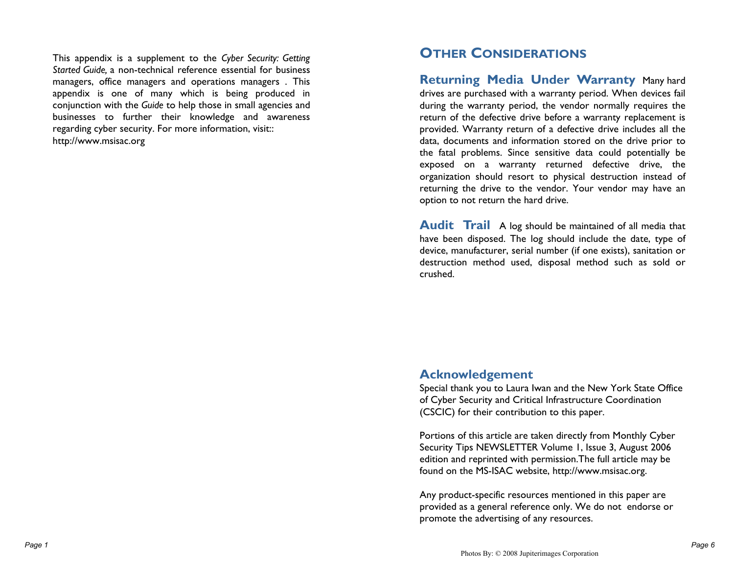This appendix is a supplement to the *Cyber Security: Getting Started Guide,* a non-technical reference essential for business managers, office managers and operations managers . This appendix is one of many which is being produced in conjunction with the *Guide* to help those in small agencies and businesses to further their knowledge and awareness regarding cyber security. For more information, visit:: http://www.msisac.org

## **OTHER CONSIDERATIONS**

**Returning Media Under Warranty** Many hard drives are purchased with a warranty period. When devices fail during the warranty period, the vendor normally requires the return of the defective drive before a warranty replacement is provided. Warranty return of a defective drive includes all the data, documents and information stored on the drive prior to the fatal problems. Since sensitive data could potentially be exposed on a warranty returned defective drive, the organization should resort to physical destruction instead of returning the drive to the vendor. Your vendor may have an option to not return the hard drive.

**Audit Trail** A log should be maintained of all media that have been disposed. The log should include the date, type of device, manufacturer, serial number (if one exists), sanitation or destruction method used, disposal method such as sold or crushed.

## **Acknowledgement**

Special thank you to Laura Iwan and the New York State Office of Cyber Security and Critical Infrastructure Coordination (CSCIC) for their contribution to this paper.

Portions of this article are taken directly from Monthly Cyber Security Tips NEWSLETTER Volume 1, Issue 3, August 2006 edition and reprinted with permission.The full article may be found on the MS-ISAC website, http://www.msisac.org.

Any product-specific resources mentioned in this paper are provided as a general reference only. We do not endorse or promote the advertising of any resources.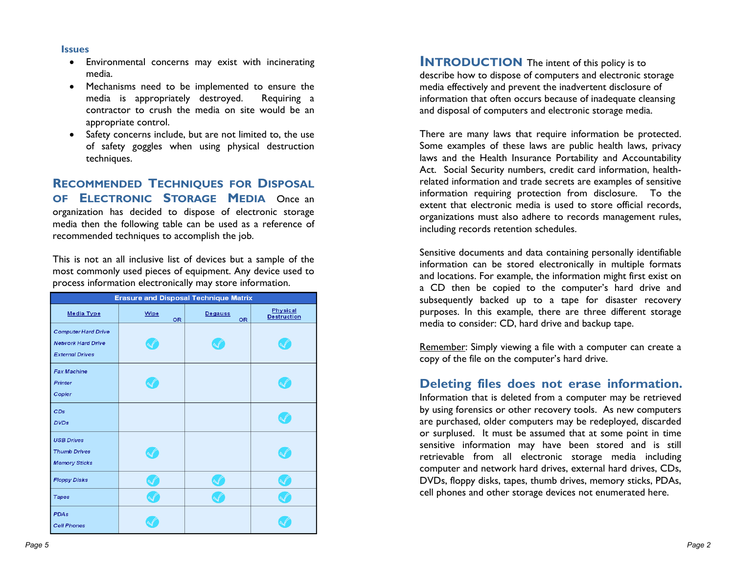#### **Issues**

- Environmental concerns may exist with incinerating media.
- Mechanisms need to be implemented to ensure the media is appropriately destroyed. Requiring a contractor to crush the media on site would be an appropriate control.
- Safety concerns include, but are not limited to, the use of safety goggles when using physical destruction techniques.

### **RECOMMENDED TECHNIQUES FOR DISPOSAL OF ELECTRONIC STORAGE MEDIA** Once an organization has decided to dispose of electronic storage media then the following table can be used as a reference of recommended techniques to accomplish the job.

This is not an all inclusive list of devices but a sample of the most commonly used pieces of equipment. Any device used to process information electronically may store information.

| <b>Erasure and Disposal Technique Matrix</b>                                      |                   |                      |                                |
|-----------------------------------------------------------------------------------|-------------------|----------------------|--------------------------------|
| Media Type                                                                        | Wipe<br><b>OR</b> | Degauss<br><b>OR</b> | Physical<br><b>Destruction</b> |
| <b>Computer Hard Drive</b><br><b>Network Hard Drive</b><br><b>External Drives</b> |                   |                      |                                |
| <b>Fax Machine</b><br>Printer<br>Copier                                           |                   |                      |                                |
| CDs<br><b>DVDs</b>                                                                |                   |                      |                                |
| <b>USB Drives</b><br><b>Thumb Drives</b><br><b>Memory Sticks</b>                  |                   |                      |                                |
| <b>Floppy Disks</b>                                                               |                   |                      |                                |
| <b>Tapes</b>                                                                      |                   |                      |                                |
| <b>PDAs</b><br><b>Cell Phones</b>                                                 |                   |                      |                                |

**INTRODUCTION** The intent of this policy is to describe how to dispose of computers and electronic storage media effectively and prevent the inadvertent disclosure of information that often occurs because of inadequate cleansing and disposal of computers and electronic storage media.

There are many laws that require information be protected. Some examples of these laws are public health laws, privacy laws and the Health Insurance Portability and Accountability Act. Social Security numbers, credit card information, healthrelated information and trade secrets are examples of sensitive information requiring protection from disclosure. To the extent that electronic media is used to store official records, organizations must also adhere to records management rules, including records retention schedules.

Sensitive documents and data containing personally identifiable information can be stored electronically in multiple formats and locations. For example, the information might first exist on a CD then be copied to the computer's hard drive and subsequently backed up to a tape for disaster recovery purposes. In this example, there are three different storage media to consider: CD, hard drive and backup tape.

Remember: Simply viewing a file with a computer can create a copy of the file on the computer's hard drive.

## **Deleting files does not erase information.**

Information that is deleted from a computer may be retrieved by using forensics or other recovery tools. As new computers are purchased, older computers may be redeployed, discarded or surplused. It must be assumed that at some point in time sensitive information may have been stored and is still retrievable from all electronic storage media including computer and network hard drives, external hard drives, CDs, DVDs, floppy disks, tapes, thumb drives, memory sticks, PDAs, cell phones and other storage devices not enumerated here.